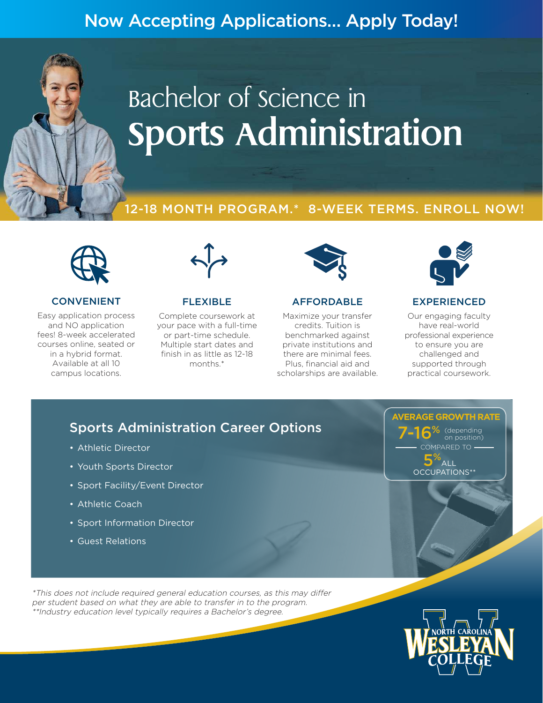# Now Accepting Applications… Apply Today!

# Bachelor of science in **Sports Administration**

### 12-18 MONTH PROGRAM.\* 8-WEEK TERMS. ENROLL NOW!



#### CONVENIENT

Easy application process and NO application fees! 8-week accelerated courses online, seated or in a hybrid format. Available at all 10 campus locations.



#### FLEXIBLE

Complete coursework at your pace with a full-time or part-time schedule. Multiple start dates and finish in as little as 12-18 months.\*



#### AFFORDABLE

Maximize your transfer credits. Tuition is benchmarked against private institutions and there are minimal fees. Plus, financial aid and scholarships are available.



#### EXPERIENCED

Our engaging faculty have real-world professional experience to ensure you are challenged and supported through practical coursework.

# Sports Administration Career Options

- Athletic Director
- Youth Sports Director
- Sport Facility/Event Director
- Athletic Coach
- Sport Information Director
- Guest Relations

**AVERAGE GROWTH RATE** COMPARED TO 5%  $\overline{A}$ LL OCCUPATIONS\*\*  $6$  (depending on position)

\*This does not include required general education courses, as this may differ per student based on what they are able to transfer in to the program. \*\*Industry education level typically requires a Bachelor's degree.